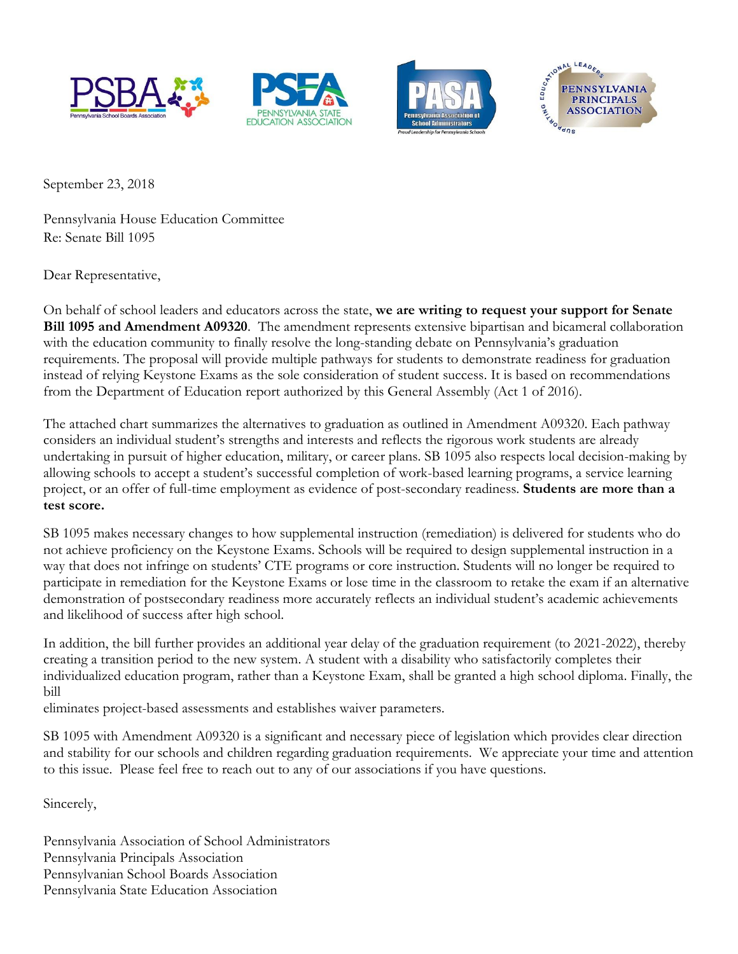







September 23, 2018

Pennsylvania House Education Committee Re: Senate Bill 1095

Dear Representative,

On behalf of school leaders and educators across the state, **we are writing to request your support for Senate Bill 1095 and Amendment A09320**. The amendment represents extensive bipartisan and bicameral collaboration with the education community to finally resolve the long-standing debate on Pennsylvania's graduation requirements. The proposal will provide multiple pathways for students to demonstrate readiness for graduation instead of relying Keystone Exams as the sole consideration of student success. It is based on recommendations from the Department of Education report authorized by this General Assembly (Act 1 of 2016).

The attached chart summarizes the alternatives to graduation as outlined in Amendment A09320. Each pathway considers an individual student's strengths and interests and reflects the rigorous work students are already undertaking in pursuit of higher education, military, or career plans. SB 1095 also respects local decision-making by allowing schools to accept a student's successful completion of work-based learning programs, a service learning project, or an offer of full-time employment as evidence of post-secondary readiness. **Students are more than a test score.** 

SB 1095 makes necessary changes to how supplemental instruction (remediation) is delivered for students who do not achieve proficiency on the Keystone Exams. Schools will be required to design supplemental instruction in a way that does not infringe on students' CTE programs or core instruction. Students will no longer be required to participate in remediation for the Keystone Exams or lose time in the classroom to retake the exam if an alternative demonstration of postsecondary readiness more accurately reflects an individual student's academic achievements and likelihood of success after high school.

In addition, the bill further provides an additional year delay of the graduation requirement (to 2021-2022), thereby creating a transition period to the new system. A student with a disability who satisfactorily completes their individualized education program, rather than a Keystone Exam, shall be granted a high school diploma. Finally, the bill

eliminates project-based assessments and establishes waiver parameters.

SB 1095 with Amendment A09320 is a significant and necessary piece of legislation which provides clear direction and stability for our schools and children regarding graduation requirements. We appreciate your time and attention to this issue. Please feel free to reach out to any of our associations if you have questions.

Sincerely,

Pennsylvania Association of School Administrators Pennsylvania Principals Association Pennsylvanian School Boards Association Pennsylvania State Education Association